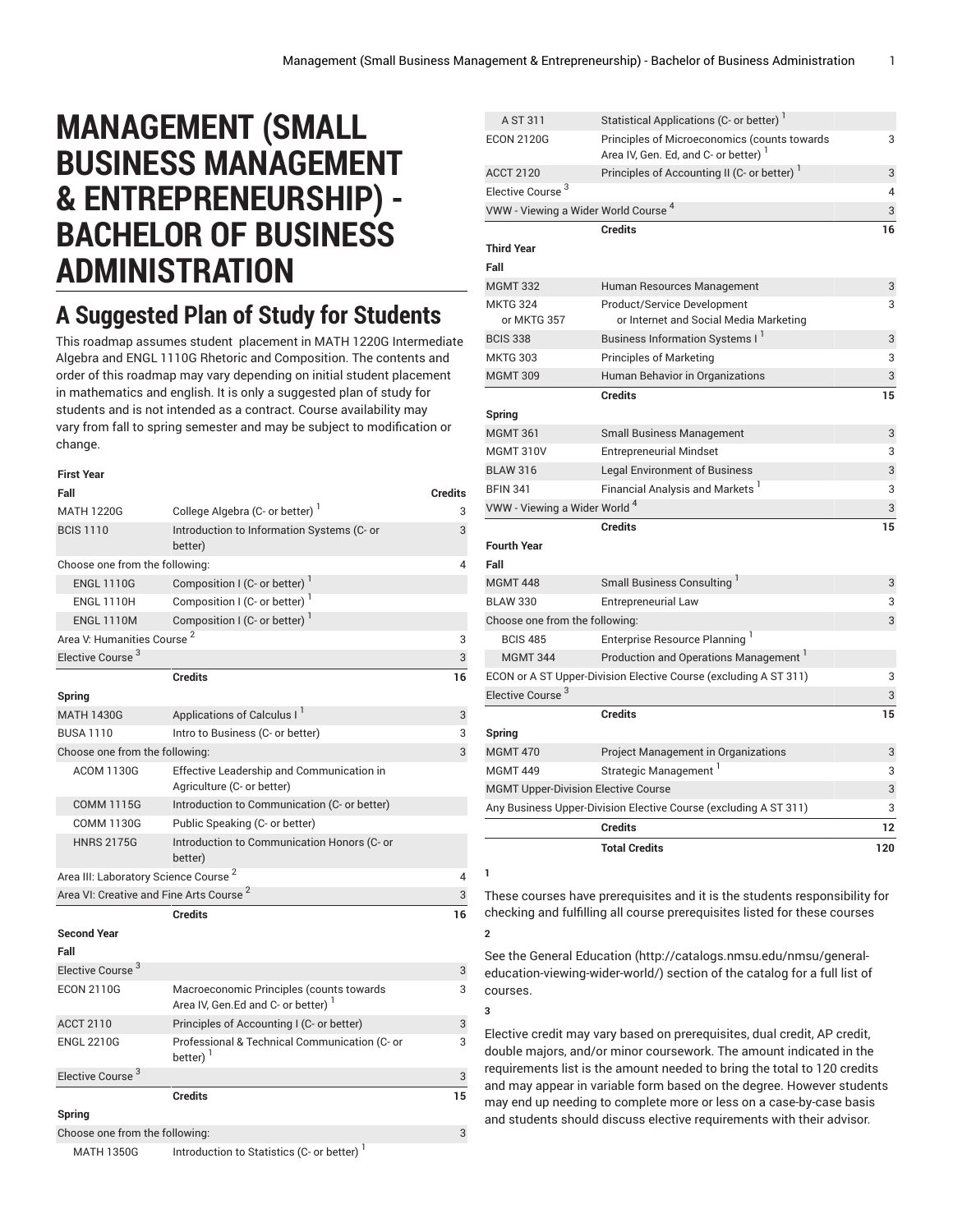## **MANAGEMENT (SMALL BUSINESS MANAGEMENT & ENTREPRENEURSHIP) - BACHELOR OF BUSINESS ADMINISTRATION**

## **A Suggested Plan of Study for Students**

This roadmap assumes student placement in MATH 1220G Intermediate Algebra and ENGL 1110G Rhetoric and Composition. The contents and order of this roadmap may vary depending on initial student placement in mathematics and english. It is only a suggested plan of study for students and is not intended as a contract. Course availability may vary from fall to spring semester and may be subject to modification or change.

| <b>First Year</b>                                   |                                                                               |                |
|-----------------------------------------------------|-------------------------------------------------------------------------------|----------------|
| Fall                                                |                                                                               | <b>Credits</b> |
| <b>MATH 1220G</b>                                   | College Algebra (C- or better) <sup>1</sup>                                   | 3              |
| <b>BCIS 1110</b>                                    | Introduction to Information Systems (C- or<br>better)                         | 3              |
| Choose one from the following:                      |                                                                               | 4              |
| <b>ENGL 1110G</b>                                   | Composition I (C- or better) <sup>1</sup>                                     |                |
| <b>ENGL 1110H</b>                                   | Composition I (C- or better)                                                  |                |
| <b>ENGL 1110M</b>                                   | Composition I (C- or better)                                                  |                |
| Area V: Humanities Course <sup>2</sup>              |                                                                               | 3              |
| Elective Course <sup>3</sup>                        |                                                                               | 3              |
|                                                     | <b>Credits</b>                                                                | 16             |
| Spring                                              |                                                                               |                |
| <b>MATH 1430G</b>                                   | Applications of Calculus I                                                    | 3              |
| <b>BUSA 1110</b>                                    | Intro to Business (C- or better)                                              | 3              |
| Choose one from the following:                      |                                                                               | 3              |
| <b>ACOM 1130G</b>                                   | Effective Leadership and Communication in<br>Agriculture (C- or better)       |                |
| <b>COMM 1115G</b>                                   | Introduction to Communication (C- or better)                                  |                |
| <b>COMM 1130G</b>                                   | Public Speaking (C- or better)                                                |                |
| <b>HNRS 2175G</b>                                   | Introduction to Communication Honors (C- or<br>better)                        |                |
| Area III: Laboratory Science Course <sup>2</sup>    |                                                                               |                |
| Area VI: Creative and Fine Arts Course <sup>2</sup> |                                                                               | 3              |
|                                                     | <b>Credits</b>                                                                | 16             |
| <b>Second Year</b>                                  |                                                                               |                |
| Fall                                                |                                                                               |                |
| Elective Course <sup>3</sup>                        |                                                                               | 3              |
| <b>ECON 2110G</b>                                   | Macroeconomic Principles (counts towards<br>Area IV, Gen.Ed and C- or better) | 3              |
| <b>ACCT 2110</b>                                    | Principles of Accounting I (C- or better)                                     | 3              |
| <b>ENGL 2210G</b>                                   | Professional & Technical Communication (C- or<br>better) <sup>1</sup>         | 3              |
| Elective Course <sup>3</sup>                        |                                                                               | 3              |
|                                                     | <b>Credits</b>                                                                | 15             |
| Spring                                              |                                                                               |                |
| Choose one from the following:                      |                                                                               | 3              |
| <b>MATH 1350G</b>                                   | Introduction to Statistics (C- or better) <sup>1</sup>                        |                |

| A ST 311                                        | Statistical Applications (C- or better) <sup>1</sup>                                             |     |
|-------------------------------------------------|--------------------------------------------------------------------------------------------------|-----|
| <b>ECON 2120G</b>                               | Principles of Microeconomics (counts towards<br>Area IV, Gen. Ed, and C- or better) <sup>1</sup> | 3   |
| <b>ACCT 2120</b>                                | Principles of Accounting II (C- or better) <sup>1</sup>                                          | 3   |
| Elective Course <sup>3</sup>                    |                                                                                                  | 4   |
| VWW - Viewing a Wider World Course <sup>4</sup> |                                                                                                  | 3   |
|                                                 | <b>Credits</b>                                                                                   | 16  |
| <b>Third Year</b><br>Fall                       |                                                                                                  |     |
| <b>MGMT 332</b>                                 | Human Resources Management                                                                       | 3   |
| <b>MKTG 324</b><br>or MKTG 357                  | Product/Service Development<br>or Internet and Social Media Marketing                            | 3   |
| <b>BCIS 338</b>                                 | <b>Business Information Systems I</b>                                                            | 3   |
| <b>MKTG 303</b>                                 | <b>Principles of Marketing</b>                                                                   | 3   |
| <b>MGMT 309</b>                                 | Human Behavior in Organizations                                                                  | 3   |
|                                                 | <b>Credits</b>                                                                                   | 15  |
| Spring                                          |                                                                                                  |     |
| <b>MGMT 361</b>                                 | <b>Small Business Management</b>                                                                 | 3   |
| <b>MGMT 310V</b>                                | <b>Entrepreneurial Mindset</b>                                                                   | 3   |
| <b>BLAW 316</b>                                 | <b>Legal Environment of Business</b>                                                             | 3   |
| <b>BFIN 341</b>                                 | Financial Analysis and Markets <sup>1</sup>                                                      | 3   |
| VWW - Viewing a Wider World <sup>4</sup>        |                                                                                                  | 3   |
|                                                 | <b>Credits</b>                                                                                   | 15  |
| <b>Fourth Year</b>                              |                                                                                                  |     |
| Fall                                            |                                                                                                  |     |
| <b>MGMT 448</b>                                 | Small Business Consulting                                                                        | 3   |
| <b>BLAW 330</b>                                 | <b>Entrepreneurial Law</b>                                                                       | 3   |
| Choose one from the following:                  |                                                                                                  | 3   |
| <b>BCIS 485</b>                                 | Enterprise Resource Planning <sup>1</sup>                                                        |     |
| <b>MGMT 344</b>                                 | Production and Operations Management                                                             |     |
|                                                 | ECON or A ST Upper-Division Elective Course (excluding A ST 311)                                 | 3   |
| Elective Course <sup>3</sup>                    |                                                                                                  | 3   |
|                                                 | <b>Credits</b>                                                                                   | 15  |
| Spring                                          |                                                                                                  |     |
| <b>MGMT 470</b>                                 | Project Management in Organizations                                                              | 3   |
| <b>MGMT 449</b>                                 | Strategic Management                                                                             | 3   |
| <b>MGMT Upper-Division Elective Course</b>      |                                                                                                  | 3   |
|                                                 | Any Business Upper-Division Elective Course (excluding A ST 311)                                 | 3   |
|                                                 | <b>Credits</b>                                                                                   | 12  |
|                                                 | <b>Total Credits</b>                                                                             | 120 |
| ı                                               |                                                                                                  |     |

These courses have prerequisites and it is the students responsibility for checking and fulfilling all course prerequisites listed for these courses

See the General [Education](http://catalogs.nmsu.edu/nmsu/general-education-viewing-wider-world/) ([http://catalogs.nmsu.edu/nmsu/general](http://catalogs.nmsu.edu/nmsu/general-education-viewing-wider-world/)[education-viewing-wider-world/\)](http://catalogs.nmsu.edu/nmsu/general-education-viewing-wider-world/) section of the catalog for a full list of courses.

**2**

**3**

Elective credit may vary based on prerequisites, dual credit, AP credit, double majors, and/or minor coursework. The amount indicated in the requirements list is the amount needed to bring the total to 120 credits and may appear in variable form based on the degree. However students may end up needing to complete more or less on a case-by-case basis and students should discuss elective requirements with their advisor.